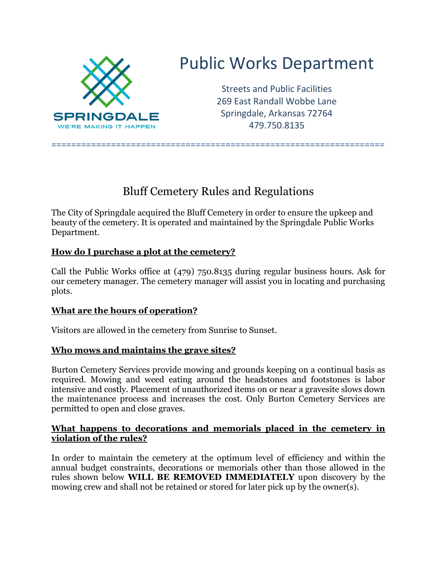

# Public Works Department

Streets and Public Facilities 269 East Randall Wobbe Lane Springdale, Arkansas 72764 479.750.8135

## Bluff Cemetery Rules and Regulations

===================================================================

The City of Springdale acquired the Bluff Cemetery in order to ensure the upkeep and beauty of the cemetery. It is operated and maintained by the Springdale Public Works Department.

### **How do I purchase a plot at the cemetery?**

Call the Public Works office at (479) 750.8135 during regular business hours. Ask for our cemetery manager. The cemetery manager will assist you in locating and purchasing plots.

#### **What are the hours of operation?**

Visitors are allowed in the cemetery from Sunrise to Sunset.

#### **Who mows and maintains the grave sites?**

Burton Cemetery Services provide mowing and grounds keeping on a continual basis as required. Mowing and weed eating around the headstones and footstones is labor intensive and costly. Placement of unauthorized items on or near a gravesite slows down the maintenance process and increases the cost. Only Burton Cemetery Services are permitted to open and close graves.

#### **What happens to decorations and memorials placed in the cemetery in violation of the rules?**

In order to maintain the cemetery at the optimum level of efficiency and within the annual budget constraints, decorations or memorials other than those allowed in the rules shown below **WILL BE REMOVED IMMEDIATELY** upon discovery by the mowing crew and shall not be retained or stored for later pick up by the owner(s).